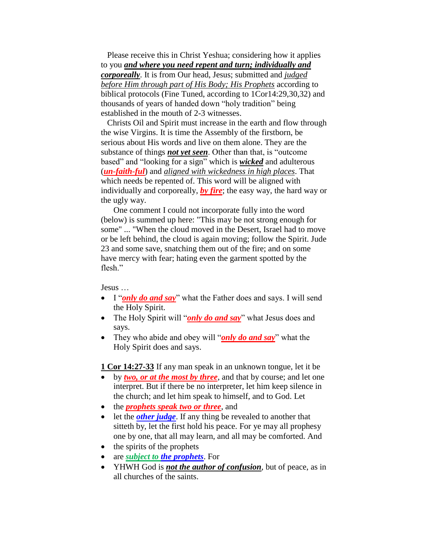Please receive this in Christ Yeshua; considering how it applies to you *and where you need repent and turn; individually and corporeally*. It is from Our head, Jesus; submitted and *judged before Him through part of His Body; His Prophets* according to biblical protocols (Fine Tuned, according to 1Cor14:29,30,32) and thousands of years of handed down "holy tradition" being established in the mouth of 2-3 witnesses.

 Christs Oil and Spirit must increase in the earth and flow through the wise Virgins. It is time the Assembly of the firstborn, be serious about His words and live on them alone. They are the substance of things *not yet seen*. Other than that, is "outcome based" and "looking for a sign" which is *wicked* and adulterous (*un-faith-ful*) and *aligned with wickedness in high places*. That which needs be repented of. This word will be aligned with individually and corporeally, *by fire*; the easy way, the hard way or the ugly way.

 One comment I could not incorporate fully into the word (below) is summed up here: "This may be not strong enough for some" ... "When the cloud moved in the Desert, Israel had to move or be left behind, the cloud is again moving; follow the Spirit. Jude 23 and some save, snatching them out of the fire; and on some have mercy with fear; hating even the garment spotted by the flesh"

Jesus …

- I "*only do and say*" what the Father does and says. I will send the Holy Spirit.
- The Holy Spirit will "*only do and say*" what Jesus does and says.
- They who abide and obey will "*only do and say*" what the Holy Spirit does and says.

**1 Cor 14:27-33** If any man speak in an unknown tongue, let it be

- by *two, or at the most by three*, and that by course; and let one interpret. But if there be no interpreter, let him keep silence in the church; and let him speak to himself, and to God. Let
- the *prophets speak two or three*, and
- let the *other judge*. If any thing be revealed to another that sitteth by, let the first hold his peace. For ye may all prophesy one by one, that all may learn, and all may be comforted. And
- $\bullet$  the spirits of the prophets
- are *subject to the prophets*. For
- YHWH God is **not the author of confusion**, but of peace, as in all churches of the saints.